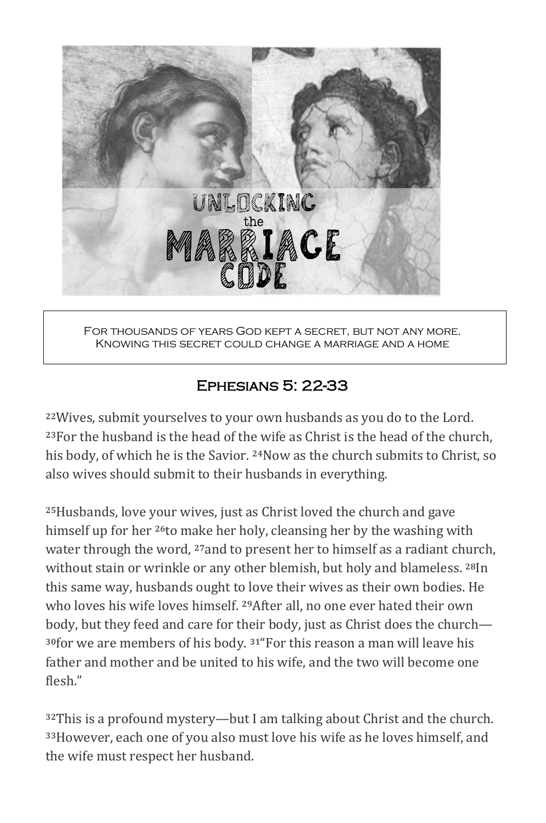

For thousands of years God kept a secret, but not any more. Knowing this secret could change a marriage and a home

# Ephesians 5: 22-33

<sup>22</sup>Wives, submit yourselves to your own husbands as you do to the Lord.  $23$ For the husband is the head of the wife as Christ is the head of the church, his body, of which he is the Savior. <sup>24</sup>Now as the church submits to Christ, so also wives should submit to their husbands in everything.

<sup>25</sup>Husbands, love your wives, just as Christ loved the church and gave himself up for her <sup>26</sup>to make her holy, cleansing her by the washing with water through the word, <sup>27</sup>and to present her to himself as a radiant church, without stain or wrinkle or any other blemish, but holy and blameless. <sup>28</sup>In this same way, husbands ought to love their wives as their own bodies. He who loves his wife loves himself. <sup>29</sup>After all, no one ever hated their own body, but they feed and care for their body, just as Christ does the church— <sup>30</sup>for we are members of his body. <sup>31</sup> For this reason a man will leave his father and mother and be united to his wife, and the two will become one flesh."

**32This** is a profound mystery—but I am talking about Christ and the church. <sup>33</sup>However, each one of you also must love his wife as he loves himself, and the wife must respect her husband.